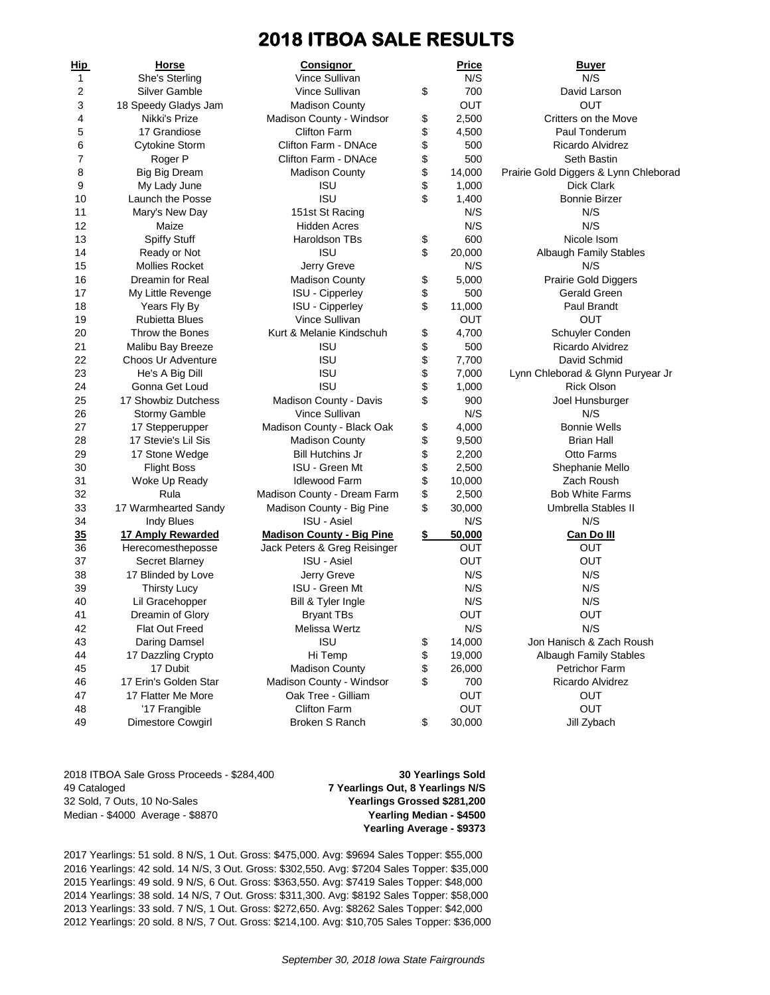## **2018 ITBOA SALE RESULTS**

| <u>Hip</u> | Horse                 | <b>Consignor</b>                                   | <b>Price</b> | <u>Buyer</u>                          |
|------------|-----------------------|----------------------------------------------------|--------------|---------------------------------------|
| 1          | She's Sterling        | Vince Sullivan                                     | N/S          | N/S                                   |
| 2          | Silver Gamble         | Vince Sullivan                                     | \$<br>700    | David Larson                          |
| 3          | 18 Speedy Gladys Jam  | <b>Madison County</b>                              | <b>OUT</b>   | <b>OUT</b>                            |
| 4          | Nikki's Prize         | Madison County - Windsor                           | \$<br>2,500  | Critters on the Move                  |
| 5          | 17 Grandiose          | <b>Clifton Farm</b>                                | \$<br>4,500  | Paul Tonderum                         |
| 6          | <b>Cytokine Storm</b> | Clifton Farm - DNAce                               | \$<br>500    | Ricardo Alvidrez                      |
| 7          | Roger P               | Clifton Farm - DNAce                               | \$<br>500    | <b>Seth Bastin</b>                    |
| 8          | <b>Big Big Dream</b>  | <b>Madison County</b>                              | \$<br>14,000 | Prairie Gold Diggers & Lynn Chleborad |
| 9          | My Lady June          | <b>ISU</b>                                         | \$<br>1,000  | Dick Clark                            |
| 10         | Launch the Posse      | <b>ISU</b>                                         | \$<br>1,400  | <b>Bonnie Birzer</b>                  |
| 11         | Mary's New Day        | 151st St Racing                                    | N/S          | N/S                                   |
| 12         | Maize                 | <b>Hidden Acres</b>                                | N/S          | N/S                                   |
| 13         | <b>Spiffy Stuff</b>   | <b>Haroldson TBs</b>                               | \$<br>600    | Nicole Isom                           |
| 14         | Ready or Not          | <b>ISU</b>                                         | \$<br>20,000 | <b>Albaugh Family Stables</b>         |
| 15         | <b>Mollies Rocket</b> | Jerry Greve                                        | N/S          | N/S                                   |
| 16         | Dreamin for Real      | <b>Madison County</b>                              | \$<br>5,000  | <b>Prairie Gold Diggers</b>           |
| 17         | My Little Revenge     | <b>ISU - Cipperley</b>                             | \$<br>500    | Gerald Green                          |
| 18         | Years Fly By          | <b>ISU - Cipperley</b>                             | \$<br>11,000 | Paul Brandt                           |
| 19         | <b>Rubietta Blues</b> | Vince Sullivan                                     | <b>OUT</b>   | <b>OUT</b>                            |
| 20         | Throw the Bones       | Kurt & Melanie Kindschuh                           | \$<br>4,700  | Schuyler Conden                       |
| 21         | Malibu Bay Breeze     | <b>ISU</b>                                         | \$<br>500    | Ricardo Alvidrez                      |
| 22         | Choos Ur Adventure    | <b>ISU</b>                                         | \$<br>7,700  | David Schmid                          |
| 23         | He's A Big Dill       | <b>ISU</b>                                         | \$<br>7,000  | Lynn Chleborad & Glynn Puryear Jr     |
| 24         | Gonna Get Loud        | <b>ISU</b>                                         | \$<br>1,000  | <b>Rick Olson</b>                     |
| 25         | 17 Showbiz Dutchess   | Madison County - Davis                             | \$<br>900    | Joel Hunsburger                       |
| 26         | <b>Stormy Gamble</b>  | Vince Sullivan                                     | N/S          | N/S                                   |
| 27         | 17 Stepperupper       | Madison County - Black Oak                         | \$<br>4,000  | <b>Bonnie Wells</b>                   |
| 28         | 17 Stevie's Lil Sis   | <b>Madison County</b>                              | \$<br>9,500  | <b>Brian Hall</b>                     |
| 29         | 17 Stone Wedge        | <b>Bill Hutchins Jr</b>                            | \$<br>2,200  | <b>Otto Farms</b>                     |
| 30         | <b>Flight Boss</b>    | <b>ISU - Green Mt</b>                              | \$<br>2,500  | Shephanie Mello                       |
| 31         | Woke Up Ready         | <b>Idlewood Farm</b>                               | \$<br>10,000 | Zach Roush                            |
| 32         | Rula                  | Madison County - Dream Farm                        | \$<br>2,500  | <b>Bob White Farms</b>                |
| 33         | 17 Warmhearted Sandy  | Madison County - Big Pine                          | \$<br>30,000 | Umbrella Stables II                   |
| 34         | Indy Blues            | <b>ISU - Asiel</b>                                 | N/S          | N/S                                   |
|            | 17 Amply Rewarded     |                                                    | \$<br>50,000 | Can Do III                            |
| 35<br>36   |                       | <b>Madison County - Big Pine</b>                   | <b>OUT</b>   | OUT                                   |
|            | Herecomestheposse     | Jack Peters & Greg Reisinger<br><b>ISU - Asiel</b> |              | <b>OUT</b>                            |
| 37         | Secret Blarney        |                                                    | OUT          | N/S                                   |
| 38         | 17 Blinded by Love    | Jerry Greve                                        | N/S          |                                       |
| 39         | <b>Thirsty Lucy</b>   | ISU - Green Mt                                     | N/S          | N/S                                   |
| 40         | Lil Gracehopper       | Bill & Tyler Ingle                                 | N/S          | N/S                                   |
| 41         | Dreamin of Glory      | <b>Bryant TBs</b>                                  | <b>OUT</b>   | <b>OUT</b>                            |
| 42         | Flat Out Freed        | Melissa Wertz                                      | N/S          | N/S                                   |
| 43         | Daring Damsel         | <b>ISU</b>                                         | \$<br>14,000 | Jon Hanisch & Zach Roush              |
| 44         | 17 Dazzling Crypto    | Hi Temp                                            | \$<br>19,000 | <b>Albaugh Family Stables</b>         |
| 45         | 17 Dubit              | <b>Madison County</b>                              | \$<br>26,000 | <b>Petrichor Farm</b>                 |
| 46         | 17 Erin's Golden Star | Madison County - Windsor                           | \$<br>700    | Ricardo Alvidrez                      |
| 47         | 17 Flatter Me More    | Oak Tree - Gilliam                                 | OUT          | <b>OUT</b>                            |
| 48         | '17 Frangible         | <b>Clifton Farm</b>                                | OUT          | OUT                                   |
| 49         | Dimestore Cowgirl     | Broken S Ranch                                     | \$<br>30,000 | Jill Zybach                           |

2018 ITBOA Sale Gross Proceeds - \$284,400 **30 Yearlings Sold** 49 Cataloged **7 Yearlings Out, 8 Yearlings N/S** 32 Sold, 7 Outs, 10 No-Sales **Yearlings Grossed \$281,200** Median - \$4000 Average - \$8870 **Yearling Median - \$4500**

**Yearling Average - \$9373**

2017 Yearlings: 51 sold. 8 N/S, 1 Out. Gross: \$475,000. Avg: \$9694 Sales Topper: \$55,000 2016 Yearlings: 42 sold. 14 N/S, 3 Out. Gross: \$302,550. Avg: \$7204 Sales Topper: \$35,000 2015 Yearlings: 49 sold. 9 N/S, 6 Out. Gross: \$363,550. Avg: \$7419 Sales Topper: \$48,000 2014 Yearlings: 38 sold. 14 N/S, 7 Out. Gross: \$311,300. Avg: \$8192 Sales Topper: \$58,000 2013 Yearlings: 33 sold. 7 N/S, 1 Out. Gross: \$272,650. Avg: \$8262 Sales Topper: \$42,000 2012 Yearlings: 20 sold. 8 N/S, 7 Out. Gross: \$214,100. Avg: \$10,705 Sales Topper: \$36,000